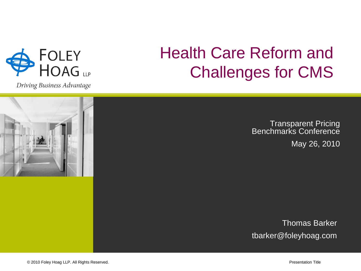

Driving Business Advantage

# Health Care Reform and Challenges for CMS

Transparent Pricing **Benchmarks Conference** May 26, 2010

Thomas Barker tbarker@foleyhoag.com

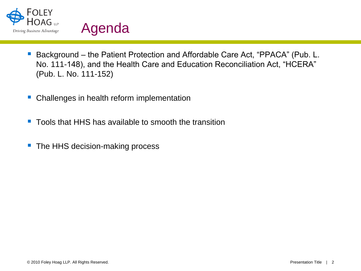



- Background the Patient Protection and Affordable Care Act, "PPACA" (Pub. L. No. 111-148), and the Health Care and Education Reconciliation Act, "HCERA" (Pub. L. No. 111-152)
- Challenges in health reform implementation
- Tools that HHS has available to smooth the transition
- The HHS decision-making process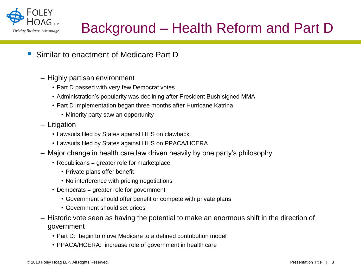

### Background – Health Reform and Part D

- Similar to enactment of Medicare Part D
	- Highly partisan environment
		- Part D passed with very few Democrat votes
		- Administration's popularity was declining after President Bush signed MMA
		- Part D implementation began three months after Hurricane Katrina
			- Minority party saw an opportunity
	- Litigation
		- Lawsuits filed by States against HHS on clawback
		- Lawsuits filed by States against HHS on PPACA/HCERA
	- Major change in health care law driven heavily by one party's philosophy
		- Republicans = greater role for marketplace
			- Private plans offer benefit
			- No interference with pricing negotiations
		- Democrats = greater role for government
			- Government should offer benefit or compete with private plans
			- Government should set prices
	- Historic vote seen as having the potential to make an enormous shift in the direction of government
		- Part D: begin to move Medicare to a defined contribution model
		- PPACA/HCERA: increase role of government in health care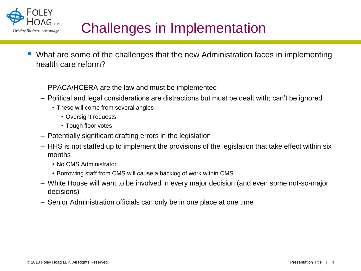

### Challenges in Implementation

- What are some of the challenges that the new Administration faces in implementing health care reform?
	- PPACA/HCERA are the law and must be implemented
	- Political and legal considerations are distractions but must be dealt with; can't be ignored
		- These will come from several angles
			- Oversight requests
			- Tough floor votes
	- Potentially significant drafting errors in the legislation
	- HHS is not staffed up to implement the provisions of the legislation that take effect within six months
		- No CMS Administrator
		- Borrowing staff from CMS will cause a backlog of work within CMS
	- White House will want to be involved in every major decision (and even some not-so-major decisions)
	- Senior Administration officials can only be in one place at one time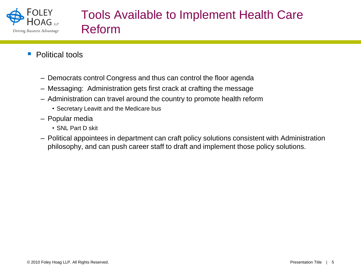

- **Political tools** 
	- Democrats control Congress and thus can control the floor agenda
	- Messaging: Administration gets first crack at crafting the message
	- Administration can travel around the country to promote health reform
		- Secretary Leavitt and the Medicare bus
	- Popular media
		- SNL Part D skit
	- Political appointees in department can craft policy solutions consistent with Administration philosophy, and can push career staff to draft and implement those policy solutions.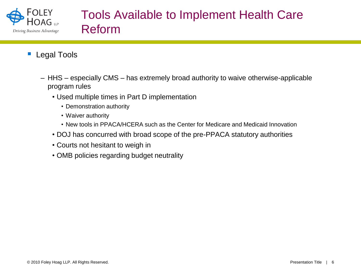

#### Tools Available to Implement Health Care Reform

- **Legal Tools** 
	- HHS especially CMS has extremely broad authority to waive otherwise-applicable program rules
		- Used multiple times in Part D implementation
			- Demonstration authority
			- Waiver authority
			- New tools in PPACA/HCERA such as the Center for Medicare and Medicaid Innovation
		- DOJ has concurred with broad scope of the pre-PPACA statutory authorities
		- Courts not hesitant to weigh in
		- OMB policies regarding budget neutrality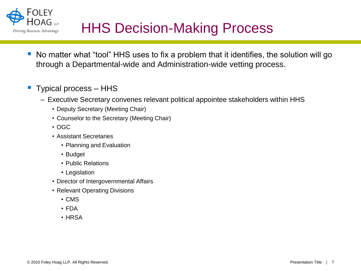

- No matter what "tool" HHS uses to fix a problem that it identifies, the solution will go through a Departmental-wide and Administration-wide vetting process.
- Typical process HHS
	- Executive Secretary convenes relevant political appointee stakeholders within HHS
		- Deputy Secretary (Meeting Chair)
		- Counselor to the Secretary (Meeting Chair)
		- OGC
		- Assistant Secretaries
			- Planning and Evaluation
			- Budget
			- Public Relations
			- Legislation
		- Director of Intergovernmental Affairs
		- Relevant Operating Divisions
			- CMS
			- FDA
			- HRSA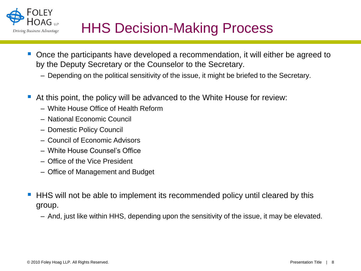

- Once the participants have developed a recommendation, it will either be agreed to by the Deputy Secretary or the Counselor to the Secretary.
	- Depending on the political sensitivity of the issue, it might be briefed to the Secretary.
- At this point, the policy will be advanced to the White House for review:
	- White House Office of Health Reform
	- National Economic Council
	- Domestic Policy Council
	- Council of Economic Advisors
	- White House Counsel's Office
	- Office of the Vice President
	- Office of Management and Budget
- HHS will not be able to implement its recommended policy until cleared by this group.
	- And, just like within HHS, depending upon the sensitivity of the issue, it may be elevated.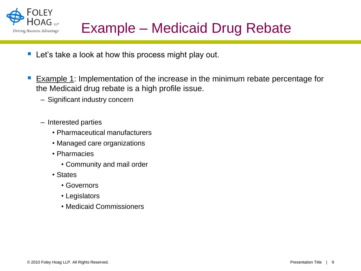

- **Let's take a look at how this process might play out.**
- **Example 1:** Implementation of the increase in the minimum rebate percentage for the Medicaid drug rebate is a high profile issue.
	- Significant industry concern
	- Interested parties
		- Pharmaceutical manufacturers
		- Managed care organizations
		- Pharmacies
			- Community and mail order
		- States
			- Governors
			- Legislators
			- Medicaid Commissioners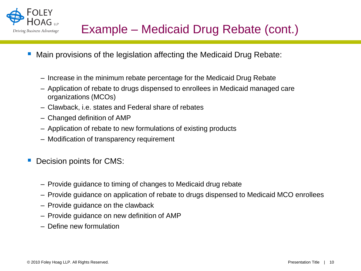

- Main provisions of the legislation affecting the Medicaid Drug Rebate:
	- Increase in the minimum rebate percentage for the Medicaid Drug Rebate
	- Application of rebate to drugs dispensed to enrollees in Medicaid managed care organizations (MCOs)
	- Clawback, i.e. states and Federal share of rebates
	- Changed definition of AMP
	- Application of rebate to new formulations of existing products
	- Modification of transparency requirement
- Decision points for CMS:
	- Provide guidance to timing of changes to Medicaid drug rebate
	- Provide guidance on application of rebate to drugs dispensed to Medicaid MCO enrollees
	- Provide guidance on the clawback
	- Provide guidance on new definition of AMP
	- Define new formulation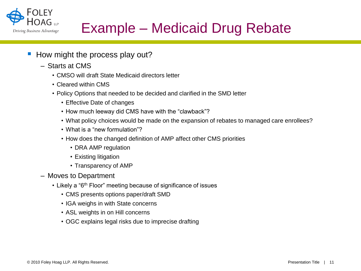

## Example – Medicaid Drug Rebate

- How might the process play out?
	- Starts at CMS
		- CMSO will draft State Medicaid directors letter
		- Cleared within CMS
		- Policy Options that needed to be decided and clarified in the SMD letter
			- Effective Date of changes
			- How much leeway did CMS have with the "clawback"?
			- What policy choices would be made on the expansion of rebates to managed care enrollees?
			- What is a "new formulation"?
			- How does the changed definition of AMP affect other CMS priorities
				- DRA AMP regulation
				- Existing litigation
				- Transparency of AMP
	- Moves to Department
		- Likely a "6<sup>th</sup> Floor" meeting because of significance of issues
			- CMS presents options paper/draft SMD
			- IGA weighs in with State concerns
			- ASL weights in on Hill concerns
			- OGC explains legal risks due to imprecise drafting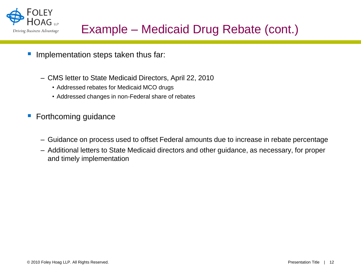

### Example – Medicaid Drug Rebate (cont.)

- Implementation steps taken thus far:
	- CMS letter to State Medicaid Directors, April 22, 2010
		- Addressed rebates for Medicaid MCO drugs
		- Addressed changes in non-Federal share of rebates
- **Forthcoming guidance** 
	- Guidance on process used to offset Federal amounts due to increase in rebate percentage
	- Additional letters to State Medicaid directors and other guidance, as necessary, for proper and timely implementation